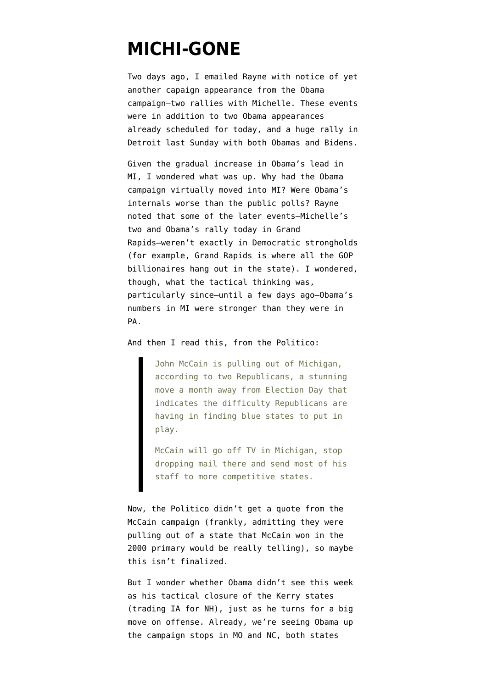## **[MICHI-GONE](https://www.emptywheel.net/2008/10/02/michi-gone/)**

Two days ago, I emailed Rayne with notice of yet another capaign appearance from the Obama campaign–two rallies with Michelle. These events were in addition to two Obama appearances already scheduled for today, and a huge rally in Detroit last Sunday with both Obamas and Bidens.

Given the gradual increase in Obama's lead in MI, I wondered what was up. Why had the Obama campaign virtually moved into MI? Were Obama's internals worse than the public polls? Rayne noted that some of the later events–Michelle's two and Obama's rally today in Grand Rapids–weren't exactly in Democratic strongholds (for example, Grand Rapids is where all the GOP billionaires hang out in the state). I wondered, though, what the tactical thinking was, particularly since–until a few days ago–Obama's numbers in MI were stronger than they were in PA.

And then I read this, from the [Politico:](http://www.politico.com/blogs/jonathanmartin/1008/McCain_pulling_out_of_Michigan.html?showall)

John McCain is pulling out of Michigan, according to two Republicans, a stunning move a month away from Election Day that indicates the difficulty Republicans are having in finding blue states to put in play.

McCain will go off TV in Michigan, stop dropping mail there and send most of his staff to more competitive states.

Now, the Politico didn't get a quote from the McCain campaign (frankly, admitting they were pulling out of a state that McCain won in the 2000 primary would be really telling), so maybe this isn't finalized.

But I wonder whether Obama didn't see this week as his tactical closure of the Kerry states (trading IA for NH), just as he turns for a big move on offense. Already, we're seeing Obama up the campaign stops in MO and NC, both states